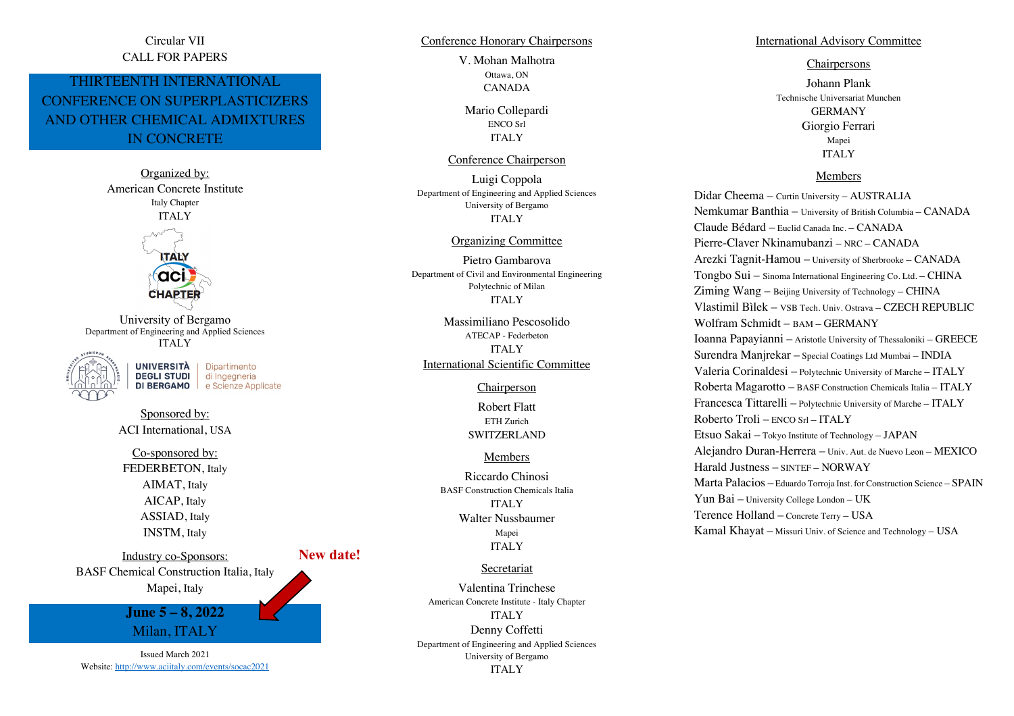## Circular VII CALL FOR PAPERS

# THIRTEENTH INTERNATIONAL CONFERENCE ON SUPERPLASTICIZERS AND OTHER CHEMICAL ADMIXTURES IN CONCRETE

Organized by: American Concrete Institute Italy Chapter ITALY **ITALY** aci **CHAPTER** 

University of Bergamo Department of Engineering and Applied Sciences ITALY

> **UNIVERSITÀ** Dipartimento **DEGLI STUDI** di Ingegneria DI BERGAMO e Scienze Applicate

Sponsored by: ACI International, USA

Co-sponsored by: FEDERBETON, Italy AIMAT, Italy AICAP, Italy ASSIAD, Italy INSTM, Italy

Industry co-Sponsors: BASF Chemical Construction Italia, Italy Mapei, Italy **June 5 – 8, 2022** Milan, ITALY

Issued March 2021 Website: http://www.aciitaly.com/events/socac2021 Conference Honorary Chairpersons

V. Mohan Malhotra Ottawa, ON CANADA

Mario Collepardi ENCO Srl ITALY

## Conference Chairperson

Luigi Coppola Department of Engineering and Applied Sciences University of Bergamo ITALY

#### Organizing Committee

Pietro Gambarova Department of Civil and Environmental Engineering Polytechnic of Milan ITALY

Massimiliano Pescosolido ATECAP - Federbeton ITALY International Scientific Committee

#### Chairperson

Robert Flatt ETH Zurich SWITZERLAND

## Members

Riccardo Chinosi BASF Construction Chemicals Italia ITALY Walter Nussbaumer Mapei ITALY

### Secretariat

Valentina Trinchese American Concrete Institute - Italy Chapter ITALY Denny Coffetti Department of Engineering and Applied Sciences University of Bergamo ITALY

#### International Advisory Committee

## **Chairpersons**

Johann Plank Technische Universariat Munchen GERMANY Giorgio Ferrari Mapei ITALY

### Members

Didar Cheema – Curtin University – AUSTRALIA Nemkumar Banthia – University of British Columbia – CANADA Claude Bédard – Euclid Canada Inc. – CANADA Pierre-Claver Nkinamubanzi – NRC – CANADA Arezki Tagnit-Hamou – University of Sherbrooke – CANADA Tongbo Sui – Sinoma International Engineering Co. Ltd. – CHINA Ziming Wang – Beijing University of Technology – CHINA Vlastimil Bìlek – VSB Tech. Univ. Ostrava – CZECH REPUBLIC Wolfram Schmidt – BAM – GERMANY Ioanna Papayianni – Aristotle University of Thessaloniki – GREECE Surendra Manjrekar – Special Coatings Ltd Mumbai – INDIA Valeria Corinaldesi – Polytechnic University of Marche – ITALY Roberta Magarotto – BASF Construction Chemicals Italia – ITALY Francesca Tittarelli – Polytechnic University of Marche – ITALY Roberto Troli – ENCO Srl – ITALY Etsuo Sakai – Tokyo Institute of Technology – JAPAN Alejandro Duran-Herrera – Univ. Aut. de Nuevo Leon – MEXICO Harald Justness – SINTEF – NORWAY Marta Palacios – Eduardo Torroja Inst. for Construction Science – SPAIN Yun Bai – University College London – UK Terence Holland – Concrete Terry – USA Kamal Khayat – Missuri Univ. of Science and Technology – USA

**New date!**